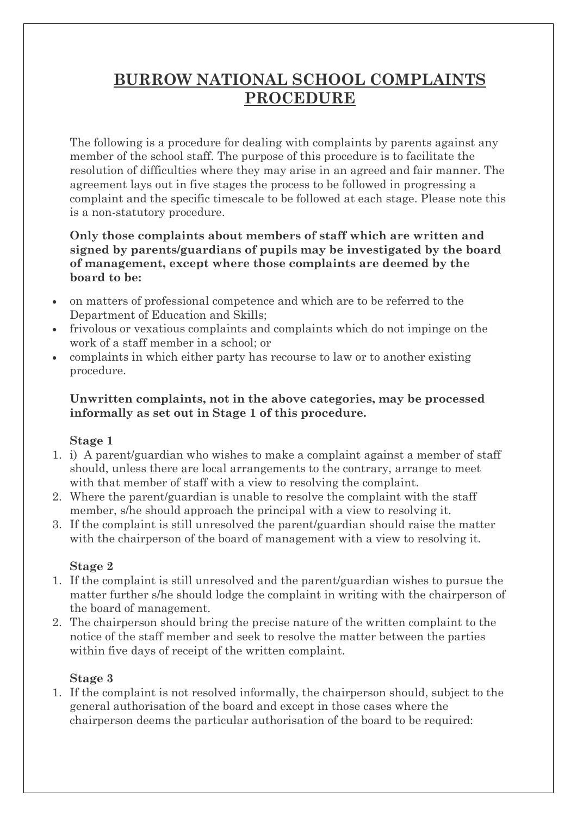# **BURROW NATIONAL SCHOOL COMPLAINTS PROCEDURE**

The following is a procedure for dealing with complaints by parents against any member of the school staff. The purpose of this procedure is to facilitate the resolution of difficulties where they may arise in an agreed and fair manner. The agreement lays out in five stages the process to be followed in progressing a complaint and the specific timescale to be followed at each stage. Please note this is a non-statutory procedure.

#### **Only those complaints about members of staff which are written and signed by parents/guardians of pupils may be investigated by the board of management, except where those complaints are deemed by the board to be:**

- on matters of professional competence and which are to be referred to the Department of Education and Skills;
- frivolous or vexatious complaints and complaints which do not impinge on the work of a staff member in a school; or
- complaints in which either party has recourse to law or to another existing procedure.

#### **Unwritten complaints, not in the above categories, may be processed informally as set out in Stage 1 of this procedure.**

## **Stage 1**

- 1. i) A parent/guardian who wishes to make a complaint against a member of staff should, unless there are local arrangements to the contrary, arrange to meet with that member of staff with a view to resolving the complaint.
- 2. Where the parent/guardian is unable to resolve the complaint with the staff member, s/he should approach the principal with a view to resolving it.
- 3. If the complaint is still unresolved the parent/guardian should raise the matter with the chairperson of the board of management with a view to resolving it.

## **Stage 2**

- 1. If the complaint is still unresolved and the parent/guardian wishes to pursue the matter further s/he should lodge the complaint in writing with the chairperson of the board of management.
- 2. The chairperson should bring the precise nature of the written complaint to the notice of the staff member and seek to resolve the matter between the parties within five days of receipt of the written complaint.

## **Stage 3**

1. If the complaint is not resolved informally, the chairperson should, subject to the general authorisation of the board and except in those cases where the chairperson deems the particular authorisation of the board to be required: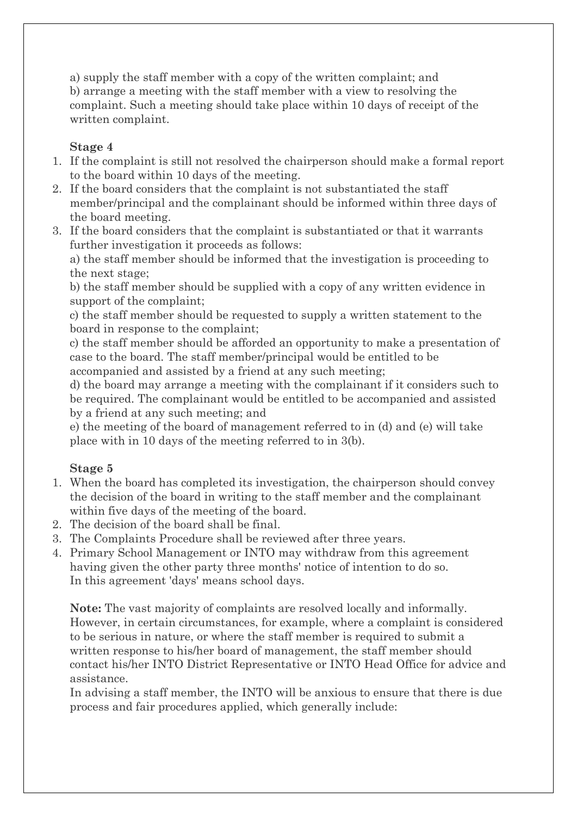a) supply the staff member with a copy of the written complaint; and b) arrange a meeting with the staff member with a view to resolving the complaint. Such a meeting should take place within 10 days of receipt of the written complaint.

#### **Stage 4**

- 1. If the complaint is still not resolved the chairperson should make a formal report to the board within 10 days of the meeting.
- 2. If the board considers that the complaint is not substantiated the staff member/principal and the complainant should be informed within three days of the board meeting.
- 3. If the board considers that the complaint is substantiated or that it warrants further investigation it proceeds as follows:

a) the staff member should be informed that the investigation is proceeding to the next stage;

b) the staff member should be supplied with a copy of any written evidence in support of the complaint;

c) the staff member should be requested to supply a written statement to the board in response to the complaint;

c) the staff member should be afforded an opportunity to make a presentation of case to the board. The staff member/principal would be entitled to be accompanied and assisted by a friend at any such meeting;

d) the board may arrange a meeting with the complainant if it considers such to be required. The complainant would be entitled to be accompanied and assisted by a friend at any such meeting; and

e) the meeting of the board of management referred to in (d) and (e) will take place with in 10 days of the meeting referred to in 3(b).

## **Stage 5**

- 1. When the board has completed its investigation, the chairperson should convey the decision of the board in writing to the staff member and the complainant within five days of the meeting of the board.
- 2. The decision of the board shall be final.
- 3. The Complaints Procedure shall be reviewed after three years.
- 4. Primary School Management or INTO may withdraw from this agreement having given the other party three months' notice of intention to do so. In this agreement 'days' means school days.

**Note:** The vast majority of complaints are resolved locally and informally. However, in certain circumstances, for example, where a complaint is considered to be serious in nature, or where the staff member is required to submit a written response to his/her board of management, the staff member should contact his/her INTO District Representative or INTO Head Office for advice and assistance.

In advising a staff member, the INTO will be anxious to ensure that there is due process and fair procedures applied, which generally include: